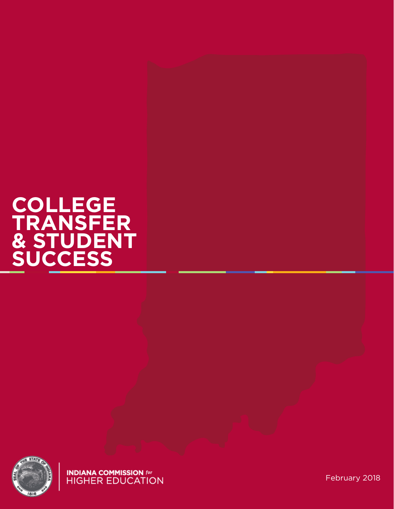### **COLLEGE TRANSFER & STUDENT SUCCESS**



**INDIANA COMMISSION** for<br>HIGHER EDUCATION

February 2018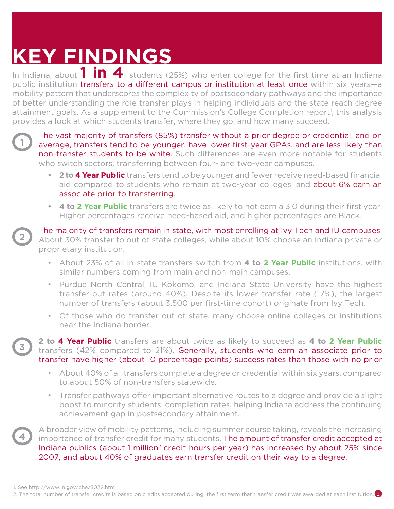# **KEY FINDINGS**

In Indiana, about **1 in 4** students (25%) who enter college for the first time at an Indiana public institution transfers to a different campus or institution at least once within six years—a mobility pattern that underscores the complexity of postsecondary pathways and the importance of better understanding the role transfer plays in helping individuals and the state reach degree attainment goals. As a supplement to the Commission's College Completion report<sup>1</sup>, this analysis provides a look at which students transfer, where they go, and how many succeed.

**2**

**3**

**4**

**<sup>1</sup>** The vast majority of transfers (85%) transfer without a prior degree or credential, and on average, transfers tend to be younger, have lower first-year GPAs, and are less likely than non-transfer students to be white. Such differences are even more notable for students who switch sectors, transferring between four- and two-year campuses.

- **• 2 to 4 Year Public** transfers tend to be younger and fewer receive need-based financial aid compared to students who remain at two-year colleges, and about 6% earn an associate prior to transferring.
- **• 4 to 2 Year Public** transfers are twice as likely to not earn a 3.0 during their first year. Higher percentages receive need-based aid, and higher percentages are Black.

The majority of transfers remain in state, with most enrolling at Ivy Tech and IU campuses. About 30% transfer to out of state colleges, while about 10% choose an Indiana private or proprietary institution.

- About 23% of all in-state transfers switch from **4 to 2 Year Public** institutions, with similar numbers coming from main and non-main campuses.
- Purdue North Central, IU Kokomo, and Indiana State University have the highest transfer-out rates (around 40%). Despite its lower transfer rate (17%), the largest number of transfers (about 3,500 per first-time cohort) originate from Ivy Tech.
- Of those who do transfer out of state, many choose online colleges or institutions near the Indiana border.

**2 to 4 Year Public** transfers are about twice as likely to succeed as **4 to 2 Year Public** transfers (42% compared to 21%). Generally, students who earn an associate prior to transfer have higher (about 10 percentage points) success rates than those with no prior

- About 40% of all transfers complete a degree or credential within six years, compared to about 50% of non-transfers statewide.
- Transfer pathways offer important alternative routes to a degree and provide a slight boost to minority students' completion rates, helping Indiana address the continuing achievement gap in postsecondary attainment.

A broader view of mobility patterns, including summer course taking, reveals the increasing importance of transfer credit for many students. The amount of transfer credit accepted at Indiana publics (about 1 million<sup>2</sup> credit hours per year) has increased by about 25% since 2007, and about 40% of graduates earn transfer credit on their way to a degree.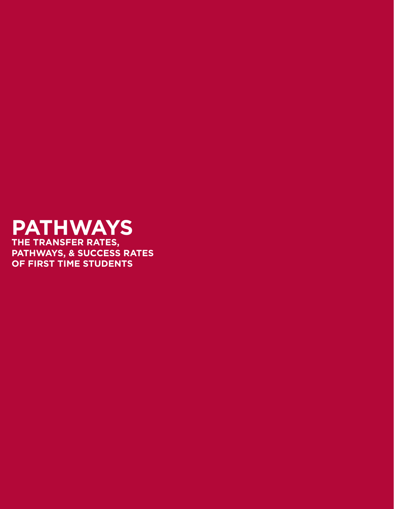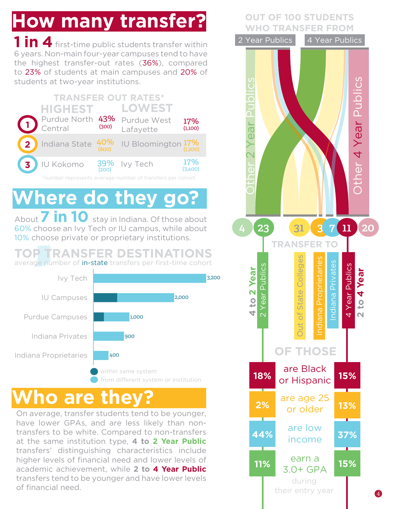# **How many transfer?** WHO TRANSFER FROM

**1 in 4** first-time public students transfer within 6 years. Non-main four-year campuses tend to have the highest transfer-out rates (36%), compared to 23% of students at main campuses and 20% of students at two-year institutions.



### **Where do they go?**

About **7 in 10** stay in Indiana. Of those about 60% choose an Ivy Tech or IU campus, while about 10% choose private or proprietary institutions.

#### **TOP TRANSFER DESTINATIONS** average number of **in-state** transfers per first-time cohort



### **ho are the**

On average, transfer students tend to be younger, have lower GPAs, and are less likely than nontransfers to be white. Compared to non-transfers at the same institution type, **4 to 2 Year Public** transfers' distinguishing characteristics include higher levels of financial need and lower levels of academic achievement, while **2 to 4 Year Public**  transfers tend to be younger and have lower levels of financial need.

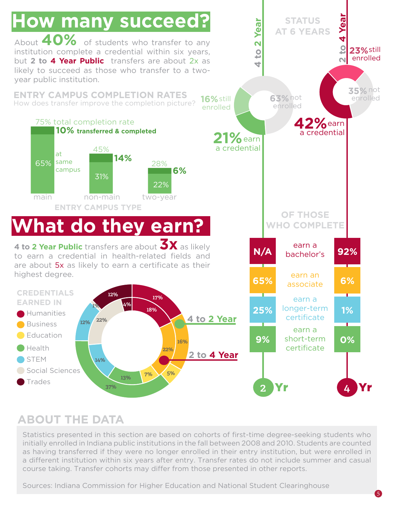

#### **ABOUT THE DATA**

Statistics presented in this section are based on cohorts of first-time degree-seeking students who initially enrolled in Indiana public institutions in the fall between 2008 and 2010. Students are counted as having transferred if they were no longer enrolled in their entry institution, but were enrolled in a different institution within six years after entry. Transfer rates do not include summer and casual course taking. Transfer cohorts may differ from those presented in other reports.

Sources: Indiana Commission for Higher Education and National Student Clearinghouse